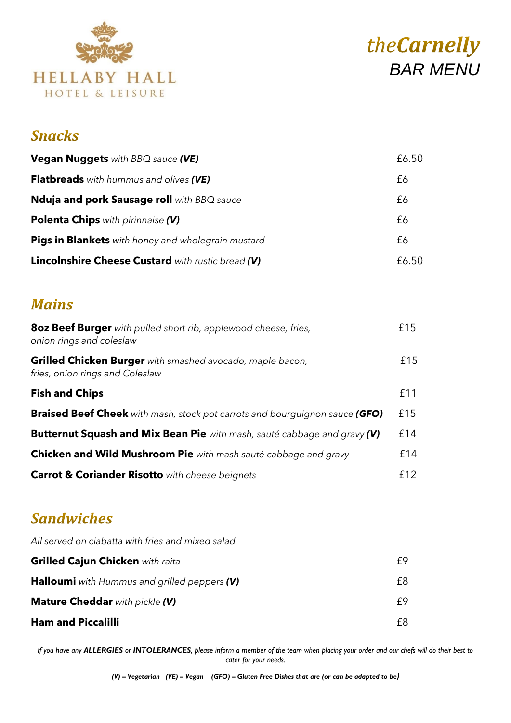



## **Snacks**

| <b>Vegan Nuggets</b> with BBQ sauce (VE)                  | £6.50 |
|-----------------------------------------------------------|-------|
| <b>Flatbreads</b> with hummus and olives (VE)             | £6    |
| <b>Nduja and pork Sausage roll</b> with BBQ sauce         | £6    |
| <b>Polenta Chips</b> with pirinnaise (V)                  | £6    |
| <b>Pigs in Blankets</b> with honey and wholegrain mustard | £6    |
| <b>Lincolnshire Cheese Custard</b> with rustic bread (V)  | £6.50 |

## **Mains**

| <b>8oz Beef Burger</b> with pulled short rib, applewood cheese, fries,<br>onion rings and coleslaw | f15 |
|----------------------------------------------------------------------------------------------------|-----|
| Grilled Chicken Burger with smashed avocado, maple bacon,<br>fries, onion rings and Coleslaw       | £15 |
| <b>Fish and Chips</b>                                                                              | £11 |
| <b>Braised Beef Cheek</b> with mash, stock pot carrots and bourguignon sauce (GFO)                 | £15 |
| Butternut Squash and Mix Bean Pie with mash, sauté cabbage and gravy (V)                           | £14 |
| <b>Chicken and Wild Mushroom Pie</b> with mash sauté cabbage and gravy                             | £14 |
| <b>Carrot &amp; Coriander Risotto</b> with cheese beignets                                         | f12 |

## **Sandwiches**

| All served on ciabatta with fries and mixed salad   |    |
|-----------------------------------------------------|----|
| <b>Grilled Cajun Chicken with raita</b>             | £9 |
| <b>Halloumi</b> with Hummus and grilled peppers (V) | £8 |
| <b>Mature Cheddar</b> with pickle (V)               | f9 |
| <b>Ham and Piccalilli</b>                           |    |

*If you have any ALLERGIES or INTOLERANCES, please inform a member of the team when placing your order and our chefs will do their best to cater for your needs.*